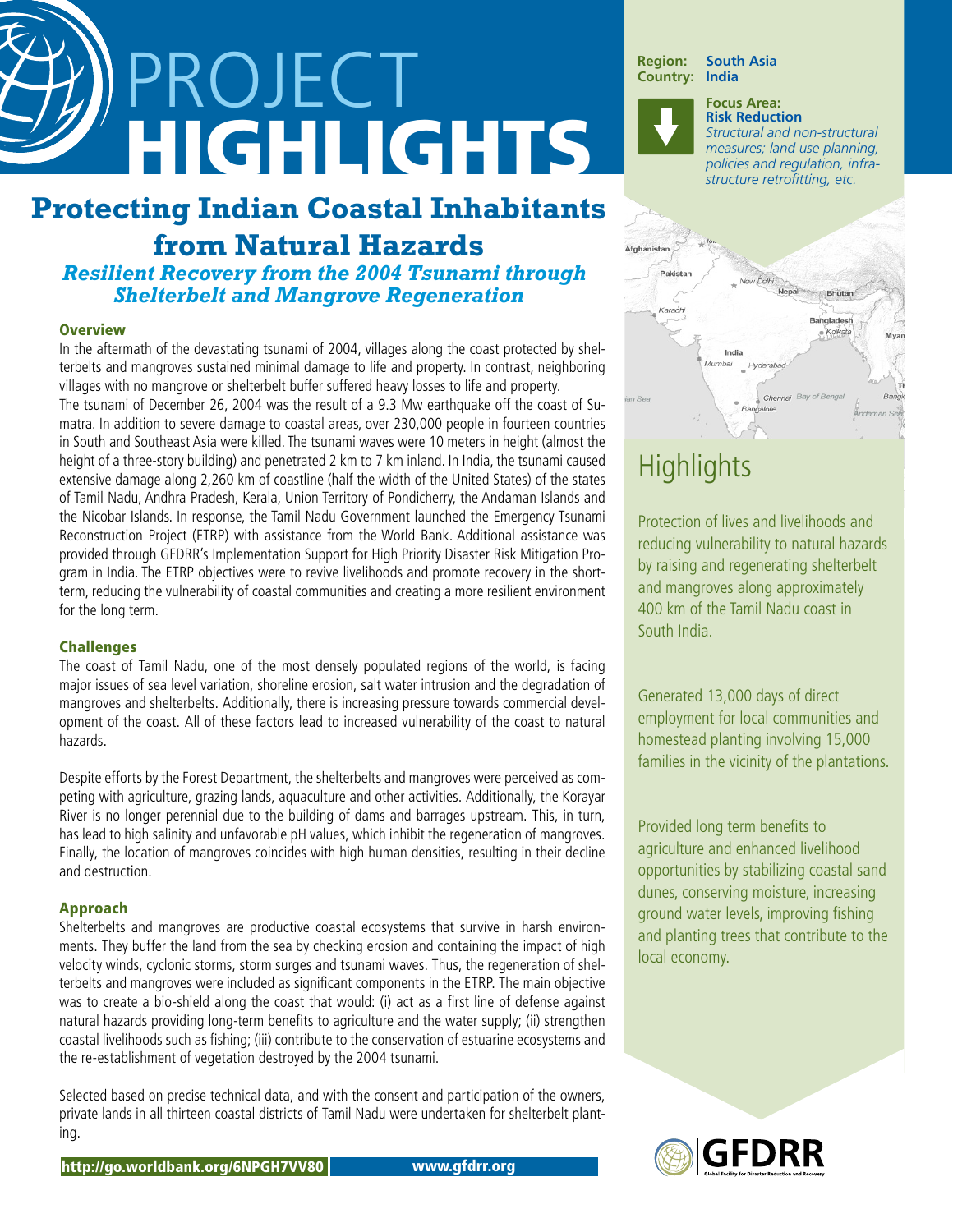# PROJECT HIGHLIGHTS

## **Protecting Indian Coastal Inhabitants from Natural Hazards**

### *Resilient Recovery from the 2004 Tsunami through Shelterbelt and Mangrove Regeneration*

### **Overview**

In the aftermath of the devastating tsunami of 2004, villages along the coast protected by shelterbelts and mangroves sustained minimal damage to life and property. In contrast, neighboring villages with no mangrove or shelterbelt buffer suffered heavy losses to life and property. The tsunami of December 26, 2004 was the result of a 9.3 Mw earthquake off the coast of Sumatra. In addition to severe damage to coastal areas, over 230,000 people in fourteen countries in South and Southeast Asia were killed. The tsunami waves were 10 meters in height (almost the height of a three-story building) and penetrated 2 km to 7 km inland. In India, the tsunami caused extensive damage along 2,260 km of coastline (half the width of the United States) of the states of Tamil Nadu, Andhra Pradesh, Kerala, Union Territory of Pondicherry, the Andaman Islands and the Nicobar Islands. In response, the Tamil Nadu Government launched the Emergency Tsunami Reconstruction Project (ETRP) with assistance from the World Bank. Additional assistance was provided through GFDRR's Implementation Support for High Priority Disaster Risk Mitigation Program in India. The ETRP objectives were to revive livelihoods and promote recovery in the shortterm, reducing the vulnerability of coastal communities and creating a more resilient environment for the long term.

### Challenges

The coast of Tamil Nadu, one of the most densely populated regions of the world, is facing major issues of sea level variation, shoreline erosion, salt water intrusion and the degradation of mangroves and shelterbelts. Additionally, there is increasing pressure towards commercial development of the coast. All of these factors lead to increased vulnerability of the coast to natural hazards.

Despite efforts by the Forest Department, the shelterbelts and mangroves were perceived as competing with agriculture, grazing lands, aquaculture and other activities. Additionally, the Korayar River is no longer perennial due to the building of dams and barrages upstream. This, in turn, has lead to high salinity and unfavorable pH values, which inhibit the regeneration of mangroves. Finally, the location of mangroves coincides with high human densities, resulting in their decline and destruction.

### Approach

Shelterbelts and mangroves are productive coastal ecosystems that survive in harsh environments. They buffer the land from the sea by checking erosion and containing the impact of high velocity winds, cyclonic storms, storm surges and tsunami waves. Thus, the regeneration of shelterbelts and mangroves were included as significant components in the ETRP. The main objective was to create a bio-shield along the coast that would: (i) act as a first line of defense against natural hazards providing long-term benefits to agriculture and the water supply; (ii) strengthen coastal livelihoods such as fishing; (iii) contribute to the conservation of estuarine ecosystems and the re-establishment of vegetation destroyed by the 2004 tsunami.

Selected based on precise technical data, and with the consent and participation of the owners, private lands in all thirteen coastal districts of Tamil Nadu were undertaken for shelterbelt planting.

**Region: South Asia Country:** 

> **Focus Area: Risk Reduction** *Structural and non-structural measures; land use planning, policies and regulation, infrastructure retrofitting, etc.*



# **Highlights**

Protection of lives and livelihoods and reducing vulnerability to natural hazards by raising and regenerating shelterbelt and mangroves along approximately 400 km of the Tamil Nadu coast in South India.

Generated 13,000 days of direct employment for local communities and homestead planting involving 15,000 families in the vicinity of the plantations.

Provided long term benefits to agriculture and enhanced livelihood opportunities by stabilizing coastal sand dunes, conserving moisture, increasing ground water levels, improving fishing and planting trees that contribute to the local economy.